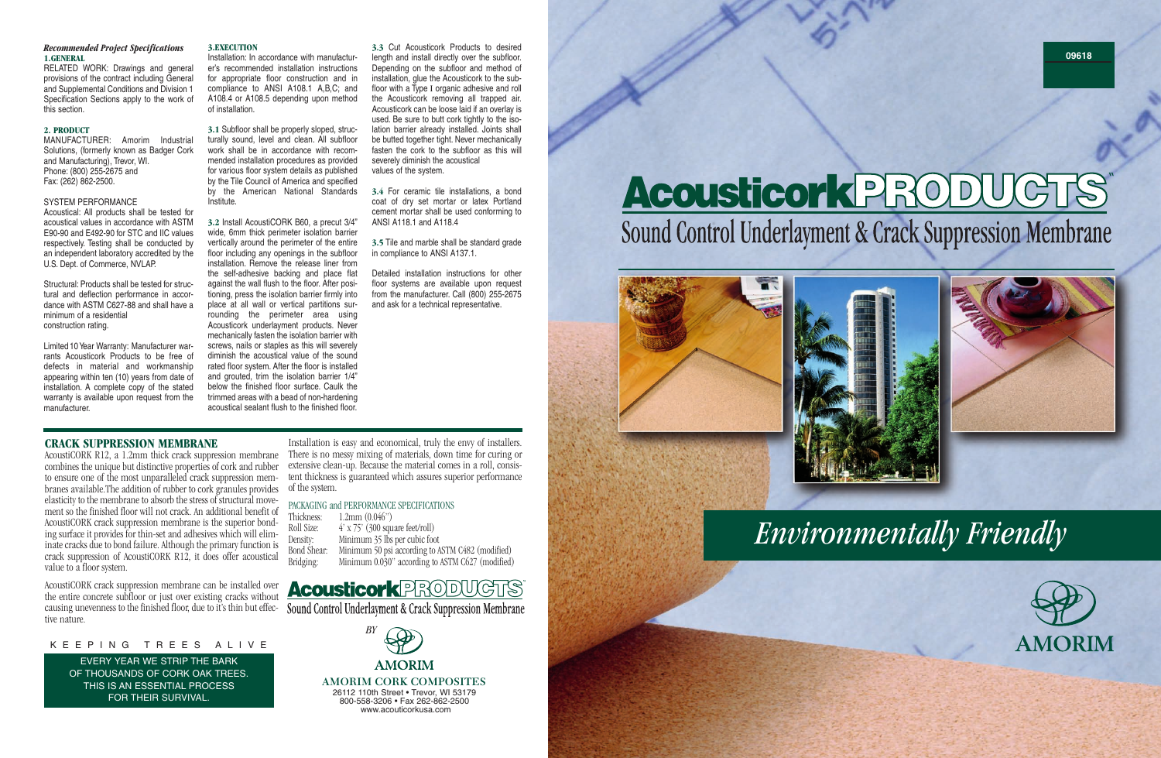## *Recommended Project Specifications* **1.GENERAL**

RELATED WORK: Drawings and general provisions of the contract including General and Supplemental Conditions and Division 1 Specification Sections apply to the work of this section.

### **2. PRODUCT**

MANUFACTURER: Amorim Industrial Solutions, (formerly known as Badger Cork and Manufacturing), Trevor, WI. Phone: (800) 255-2675 and Fax: (262) 862-2500.

## SYSTEM PERFORMANCE

Acoustical: All products shall be tested for acoustical values in accordance with ASTM E90-90 and E492-90 for STC and IIC values respectively. Testing shall be conducted by an independent laboratory accredited by the U.S. Dept. of Commerce, NVLAP.

Structural: Products shall be tested for structural and deflection performance in accordance with ASTM C627-88 and shall have a minimum of a residential construction rating.

Limited 10 Year Warranty: Manufacturer warrants Acousticork Products to be free of defects in material and workmanship appearing within ten (10) years from date of installation. A complete copy of the stated warranty is available upon request from the manufacturer.

### **3.EXECUTION**

Installation: In accordance with manufacturer's recommended installation instructions for appropriate floor construction and in compliance to ANSI A108.1 A,B,C; and A108.4 or A108.5 depending upon method of installation.

**3.1** Subfloor shall be properly sloped, structurally sound, level and clean. All subfloor work shall be in accordance with recommended installation procedures as provided for various floor system details as published by the Tile Council of America and specified by the American National Standards Institute.

**3.2** Install AcoustiCORK B60, a precut 3/4" wide, 6mm thick perimeter isolation barrier vertically around the perimeter of the entire floor including any openings in the subfloor installation. Remove the release liner from the self-adhesive backing and place flat against the wall flush to the floor. After positioning, press the isolation barrier firmly into place at all wall or vertical partitions surrounding the perimeter area using Acousticork underlayment products. Never mechanically fasten the isolation barrier with screws, nails or staples as this will severely diminish the acoustical value of the sound rated floor system. After the floor is installed and grouted, trim the isolation barrier 1/4" below the finished floor surface. Caulk the trimmed areas with a bead of non-hardening acoustical sealant flush to the finished floor.

**3.3** Cut Acousticork Products to desired length and install directly over the subfloor. Depending on the subfloor and method of installation, glue the Acousticork to the subfloor with a Type I organic adhesive and roll the Acousticork removing all trapped air. Acousticork can be loose laid if an overlay is used. Be sure to butt cork tightly to the isolation barrier already installed. Joints shall be butted together tight. Never mechanically fasten the cork to the subfloor as this will severely diminish the acoustical values of the system.

**3.4** For ceramic tile installations, a bond coat of dry set mortar or latex Portland cement mortar shall be used conforming to ANSI A118.1 and A118.4

**3.5** Tile and marble shall be standard grade in compliance to ANSI A137.1.

Detailed installation instructions for other floor systems are available upon request from the manufacturer. Call (800) 255-2675 and ask for a technical representative.

## **CRACK SUPPRESSION MEMBRANE**

AcoustiCORK R12, a 1.2mm thick crack suppression membrane combines the unique but distinctive properties of cork and rubber to ensure one of the most unparalleled crack suppression membranes available.The addition of rubber to cork granules provides elasticity to the membrane to absorb the stress of structural movement so the finished floor will not crack. An additional benefit of AcoustiCORK crack suppression membrane is the superior bonding surface it provides for thin-set and adhesives which will eliminate cracks due to bond failure. Although the primary function is crack suppression of AcoustiCORK R12, it does offer acoustical value to a floor system.

AcoustiCORK crack suppression membrane can be installed over the entire concrete subfloor or just over existing cracks without causing unevenness to the finished floor, due to it's thin but effec-<br>Sound Control Underlayment & Crack Suppression Membrane tive nature.

> 26112 110th Street • Trevor, WI 53179 800-558-3206 • Fax 262-862-2500 www.acouticorkusa.com

# AcousticorkPRODUCT " Sound Control Underlayment & Crack Suppression Membrane





Installation is easy and economical, truly the envy of installers. There is no messy mixing of materials, down time for curing or extensive clean-up. Because the material comes in a roll, consistent thickness is guaranteed which assures superior performance of the system.

# PACKAGING and PERFORMANCE SPECIFICATIONS<br>Thickness: 1.2mm (0.046")

| $1.2$ mm $(0.046")$                              |
|--------------------------------------------------|
| $4'$ x 75' (300 square feet/roll)                |
| Minimum 35 lbs per cubic foot                    |
| Minimum 50 psi according to ASTM C482 (modified) |
| Minimum 0.030" according to ASTM C627 (modified) |
|                                                  |

# **Acousticork PRODUGTS**

EVERY YEAR WE STRIP THE BARK OF THOUSANDS OF CORK OAK TREES. THIS IS AN ESSENTIAL PROCESS FOR THEIR SURVIVAL.

## K E E P I N G T R E E S A L I V E

# *Environmentally Friendly*